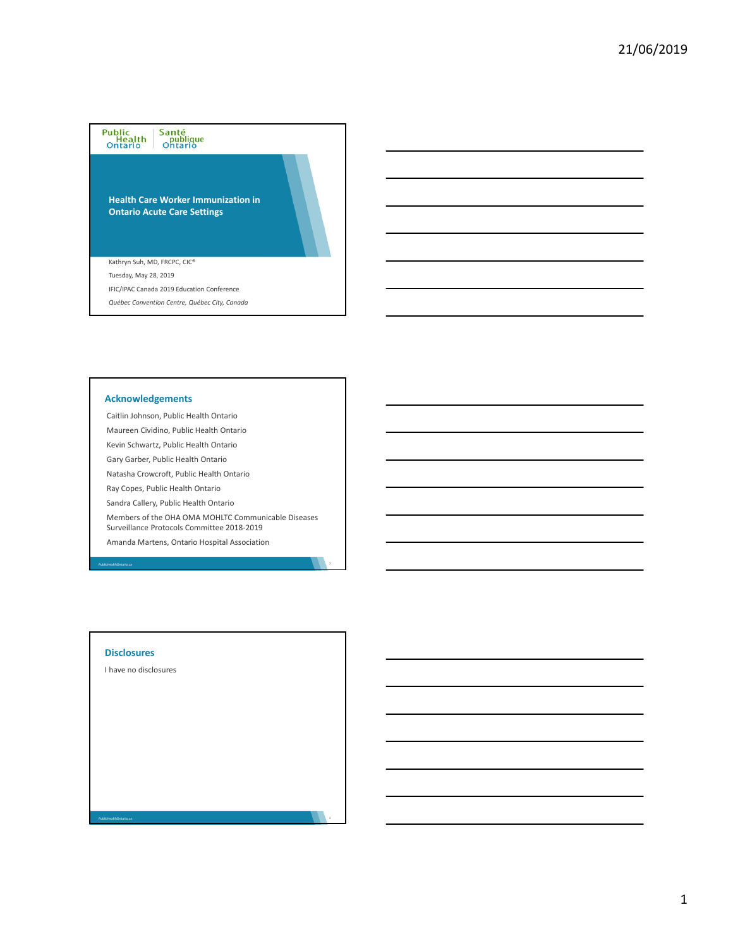# Public<br>Health<br>Ontario Santé<br>publique<br>Ontario

**Health Care Worker Immunization in Ontario Acute Care Settings**

Kathryn Suh, MD, FRCPC, CIC®

Tuesday, May 28, 2019

- IFIC/IPAC Canada 2019 Education Conference
- *Québec Convention Centre, Québec City, Canada*

## **Acknowledgements**

Caitlin Johnson, Public Health Ontario

Maureen Cividino, Public Health Ontario

Kevin Schwartz, Public Health Ontario Gary Garber, Public Health Ontario

Natasha Crowcroft, Public Health Ontario

Ray Copes, Public Health Ontario

Sandra Callery, Public Health Ontario

Members of the OHA OMA MOHLTC Communicable Diseases Surveillance Protocols Committee 2018‐2019

Amanda Martens, Ontario Hospital Association

## **Disclosures**

PublicHealthOntario.ca

PublicHealthOntario.ca

I have no disclosures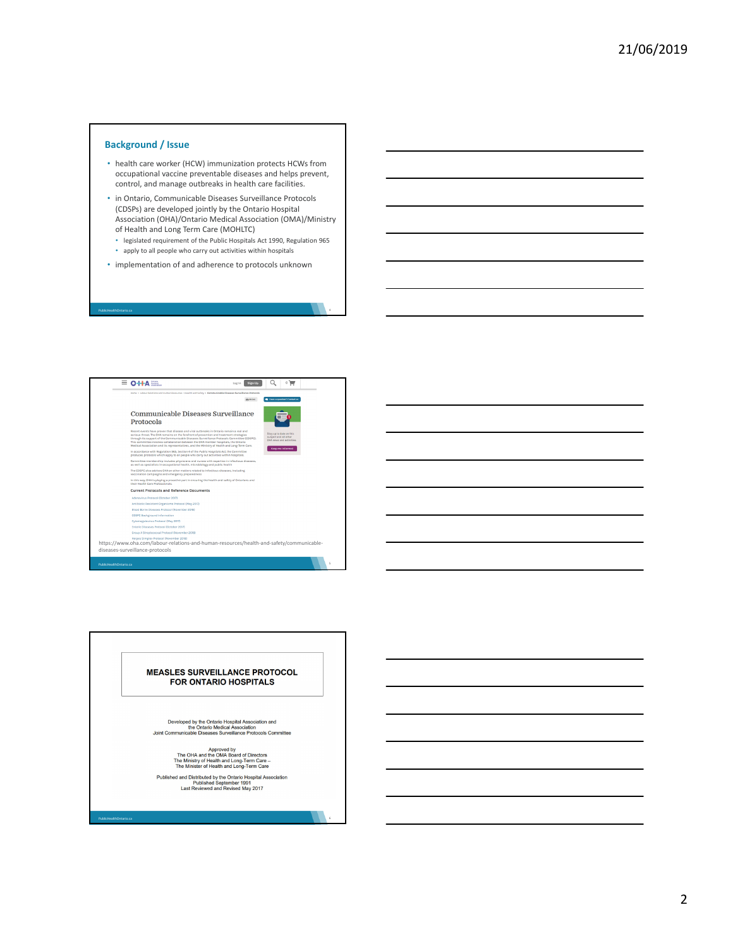# **Background / Issue**

PublicHealthOntario.ca

- health care worker (HCW) immunization protects HCWs from occupational vaccine preventable diseases and helps prevent, control, and manage outbreaks in health care facilities.
- in Ontario, Communicable Diseases Surveillance Protocols (CDSPs) are developed jointly by the Ontario Hospital Association (OHA)/Ontario Medical Association (OMA)/Ministry of Health and Long Term Care (MOHLTC)
	- legislated requirement of the Public Hospitals Act 1990, Regulation 965
	- apply to all people who carry out activities within hospitals
- implementation of and adherence to protocols unknown



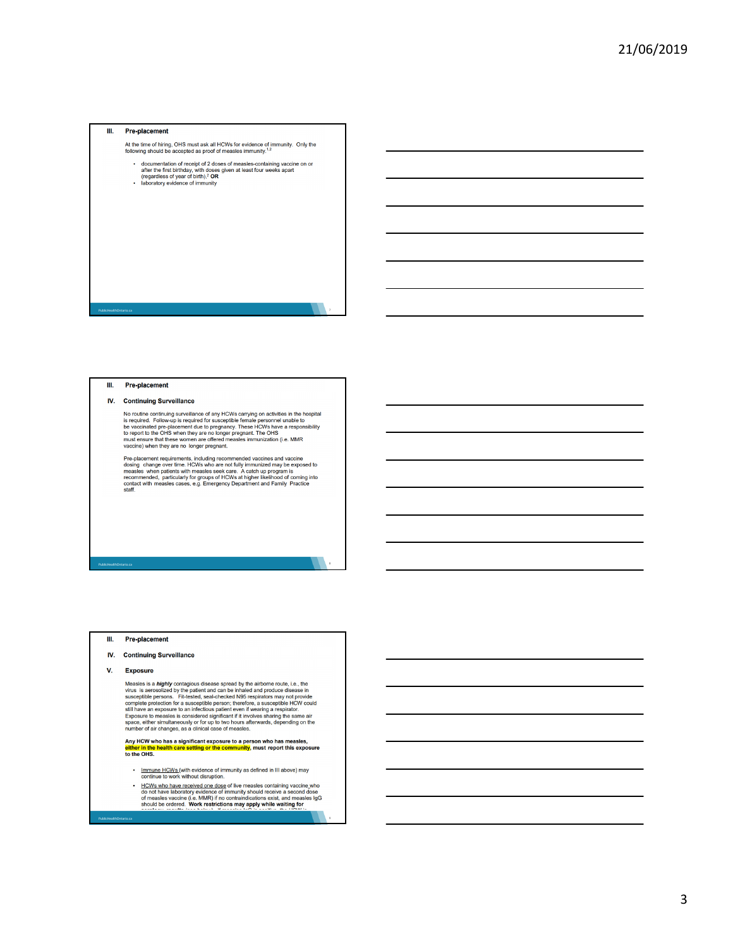#### $\mathbf{m}$ **Pre-placement**

- At the time of hiring, OHS must ask all HCWs for evidence of immunity. Only the following should be accepted as proof of measles immunity.<sup>1,2</sup>
- documentation of receipt of 2 doses of measles-containing vaccine on or<br>after the first birthday, with doses given at least four weeks apart<br>(regardless of year of birth).<sup>2</sup> **OR**<br>- laboratory evidence of immunity
- 

#### III. **Pre-placement**

#### IV. **Continuing Surveillance**

No routine continuing surveillance of any HCWs carrying on activities in the hospital<br>is required. Follow-up is required for susceptible fermale personnel unable to<br>be vaccinated pre-placement due to pregnancy. These HCWs

PublicHealthOntario.ca 7

Pre-placement requirements, including recommended vaccines and vaccine<br>dosing change over time. HCWs who are not fully immunized may be exposed to<br>measies when patients with measies seek care. A catch up program is<br>recomme

PublicHealthOntario.ca 8

#### III. **Pre-placement**

#### IV. **Continuing Surveillance**

v. Exposure

Measles is a *highly* contagious disease spread by the airbome route, i.e., the<br>virus is aerosolized by the patient and can be inhaled and produce disease in<br>susceptible persons. Firt-leted, seal-checked NSS respirators ma

Any HCW who has a significant exposure to a person who has measles,<br>either in the health care setting or the community, must report this exposure to the OHS.

Immune HCWs (with evidence of immunity as defined in III above) may continue to work without disruption.

PublicHealthOntario.ca 9

**EXECUTE THE CONSUMER CONSUMER CONSUMER**<br>In the contract of the measure of this contract of the measure of the contract of the contract of the contract of the contract of the series of should be ordered.<br>Should be ordered.

3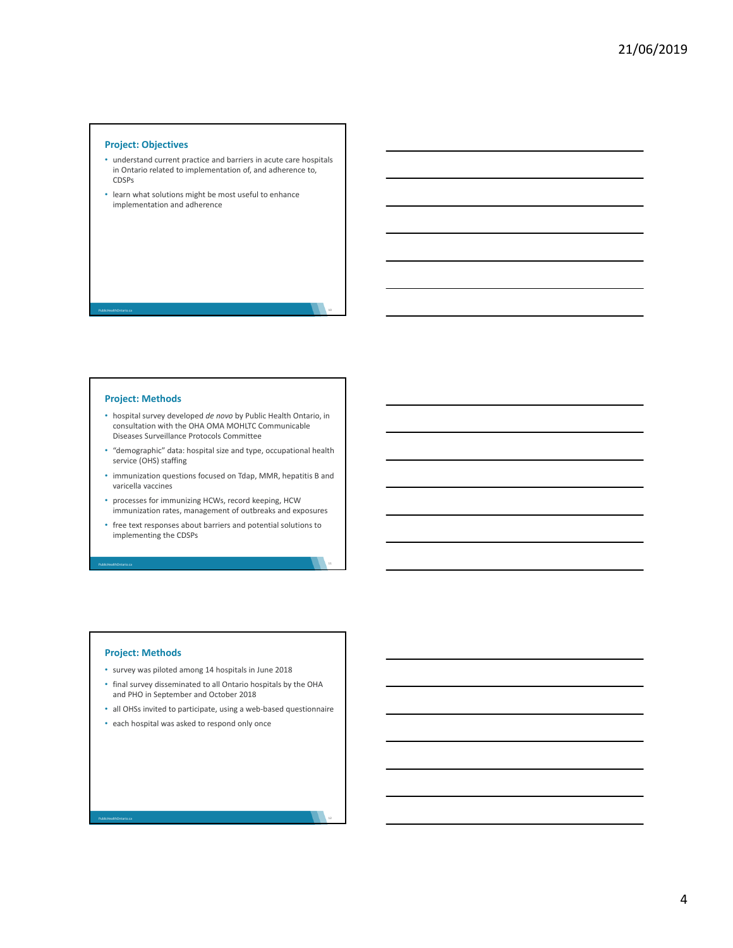# **Project: Objectives**

- understand current practice and barriers in acute care hospitals in Ontario related to implementation of, and adherence to, CDSPs
- learn what solutions might be most useful to enhance implementation and adherence

### **Project: Methods**

PublicHealthOntario.ca

- hospital survey developed *de novo* by Public Health Ontario, in consultation with the OHA OMA MOHLTC Communicable Diseases Surveillance Protocols Committee
- "demographic" data: hospital size and type, occupational health service (OHS) staffing
- immunization questions focused on Tdap, MMR, hepatitis B and varicella vaccines
- processes for immunizing HCWs, record keeping, HCW immunization rates, management of outbreaks and exposures
- free text responses about barriers and potential solutions to implementing the CDSPs

## **Project: Methods**

PublicHealthOntario.ca

PublicHealthOntario.ca

- survey was piloted among 14 hospitals in June 2018
- final survey disseminated to all Ontario hospitals by the OHA and PHO in September and October 2018
- all OHSs invited to participate, using a web‐based questionnaire
- each hospital was asked to respond only once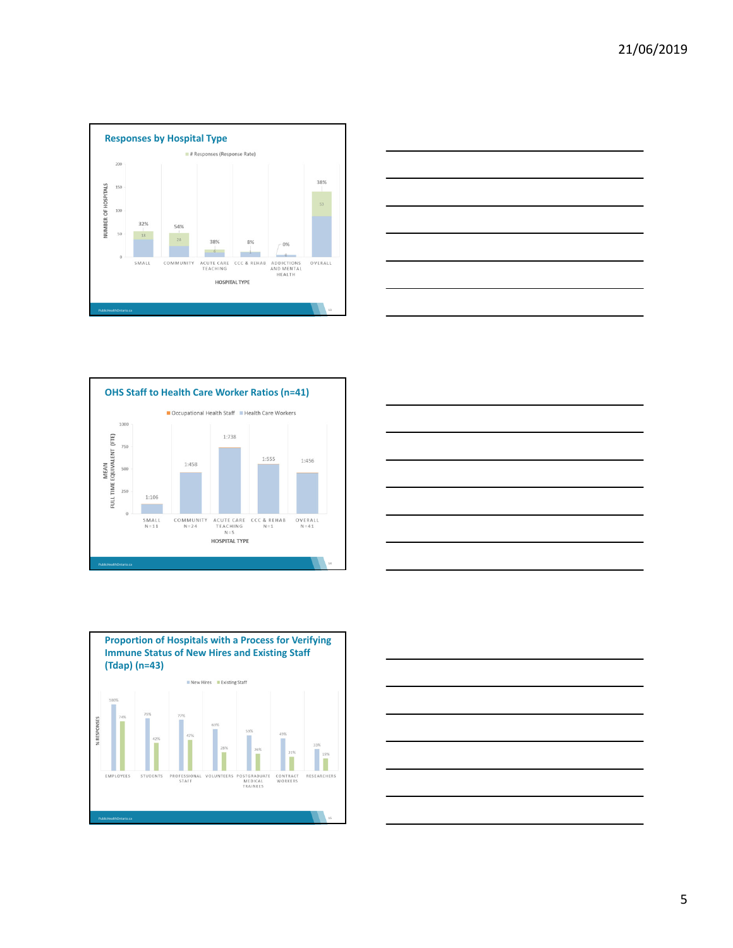









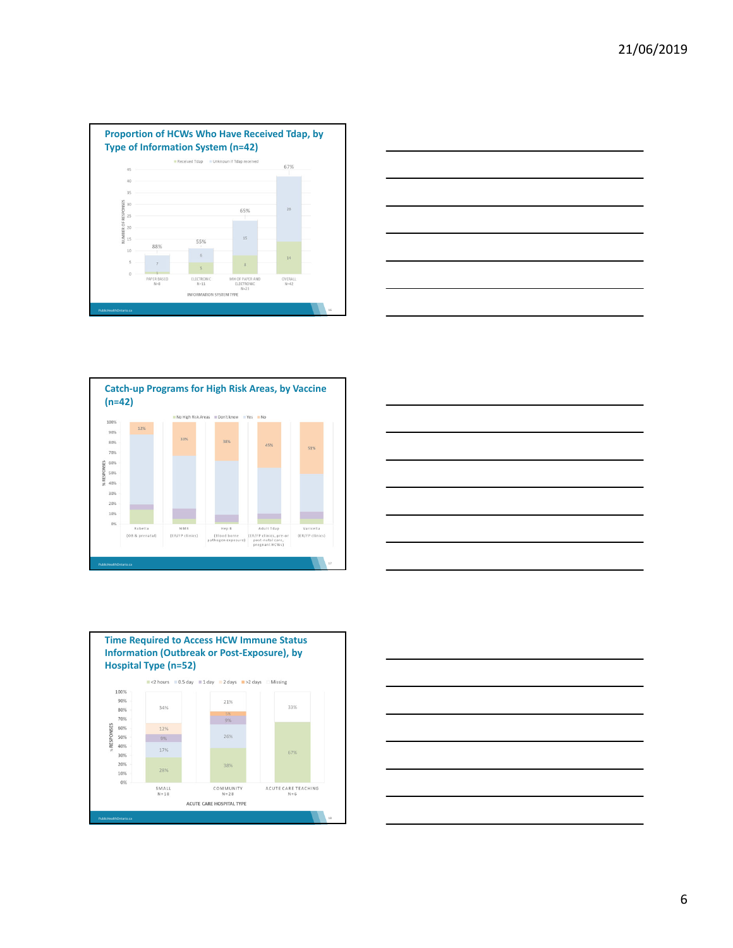









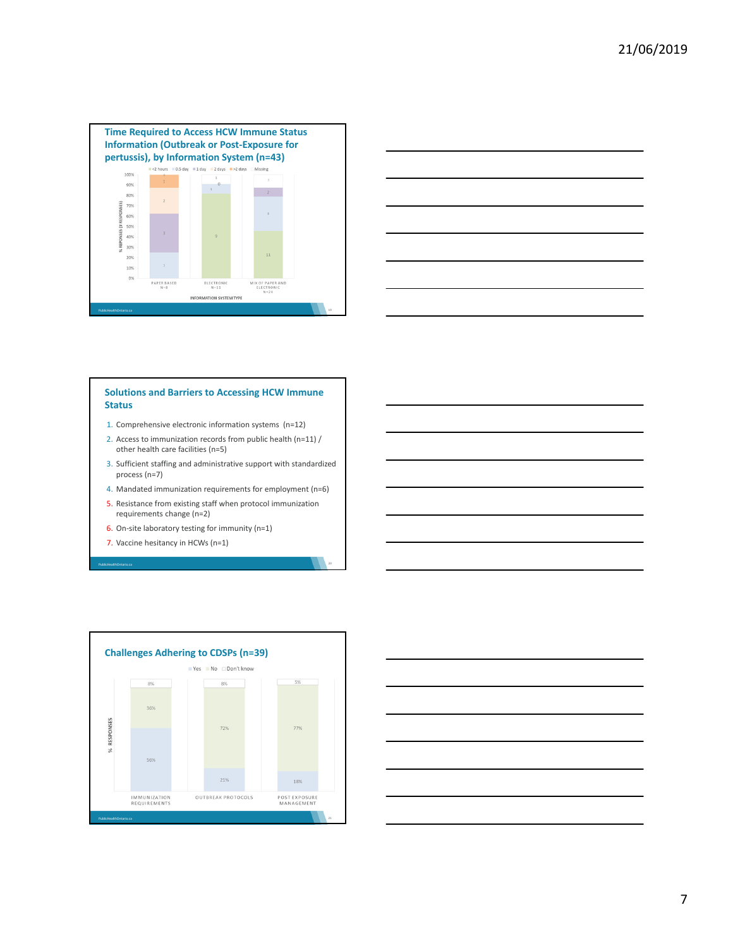



# **Solutions and Barriers to Accessing HCW Immune Status**

- 1. Comprehensive electronic information systems (n=12)
- 2. Access to immunization records from public health (n=11) / other health care facilities (n=5)
- 3. Sufficient staffing and administrative support with standardized process (n=7)
- 4. Mandated immunization requirements for employment (n=6)
- 5. Resistance from existing staff when protocol immunization requirements change (n=2)
- 6. On-site laboratory testing for immunity  $(n=1)$
- 7. Vaccine hesitancy in HCWs (n=1)

PublicHealthOntario.ca